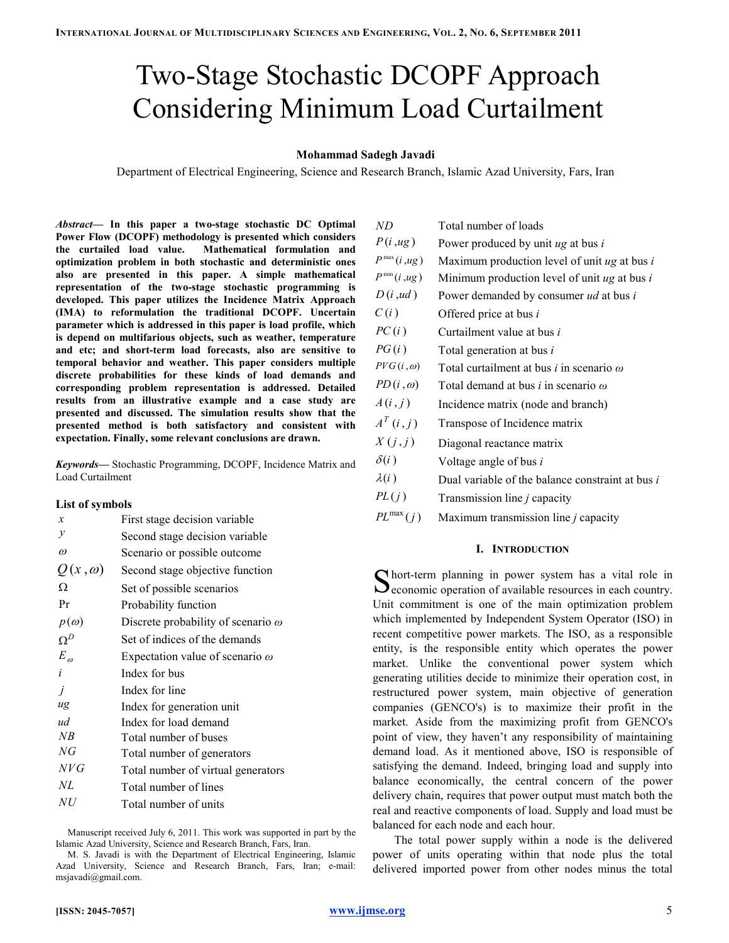# Two-Stage Stochastic DCOPF Approach Considering Minimum Load Curtailment

# Mohammad Sadegh Javadi

Department of Electrical Engineering, Science and Research Branch, Islamic Azad University, Fars, Iran

Abstract— In this paper a two-stage stochastic DC Optimal Power Flow (DCOPF) methodology is presented which considers the curtailed load value. Mathematical formulation and optimization problem in both stochastic and deterministic ones also are presented in this paper. A simple mathematical representation of the two-stage stochastic programming is developed. This paper utilizes the Incidence Matrix Approach (IMA) to reformulation the traditional DCOPF. Uncertain parameter which is addressed in this paper is load profile, which is depend on multifarious objects, such as weather, temperature and etc; and short-term load forecasts, also are sensitive to temporal behavior and weather. This paper considers multiple discrete probabilities for these kinds of load demands and corresponding problem representation is addressed. Detailed results from an illustrative example and a case study are presented and discussed. The simulation results show that the presented method is both satisfactory and consistent with expectation. Finally, some relevant conclusions are drawn.

Keywords— Stochastic Programming, DCOPF, Incidence Matrix and Load Curtailment

## List of symbols

| $\boldsymbol{x}$ | First stage decision variable             |
|------------------|-------------------------------------------|
| v                | Second stage decision variable            |
| $\omega$         | Scenario or possible outcome              |
| $Q(x,\omega)$    | Second stage objective function           |
| Ω                | Set of possible scenarios                 |
| Pr               | Probability function                      |
| $p(\omega)$      | Discrete probability of scenario $\omega$ |
| $\Omega^D$       | Set of indices of the demands             |
| $E_{\omega}$     | Expectation value of scenario $\omega$    |
| i                | Index for bus                             |
| j                | Index for line                            |
| ug               | Index for generation unit                 |
| ud               | Index for load demand                     |
| NB               | Total number of buses                     |
| NG               | Total number of generators                |
| NVG              | Total number of virtual generators        |
| NL               | Total number of lines                     |
| NU               | Total number of units                     |

Manuscript received July 6, 2011. This work was supported in part by the Islamic Azad University, Science and Research Branch, Fars, Iran.

M. S. Javadi is with the Department of Electrical Engineering, Islamic Azad University, Science and Research Branch, Fars, Iran; e-mail: msjavadi@gmail.com.

| ND                | Total number of loads                                  |
|-------------------|--------------------------------------------------------|
| P(i, ug)          | Power produced by unit $ug$ at bus $i$                 |
| $P^{\max}(i, ug)$ | Maximum production level of unit $ug$ at bus $i$       |
| $P^{\min}(i, ug)$ | Minimum production level of unit $ug$ at bus $i$       |
| D(i, ud)          | Power demanded by consumer ud at bus i                 |
| C(i)              | Offered price at bus <i>i</i>                          |
| PC(i)             | Curtailment value at bus <i>i</i>                      |
| PG(i)             | Total generation at bus <i>i</i>                       |
| $PVG(i, \omega)$  | Total curtailment at bus <i>i</i> in scenario $\omega$ |
| $PD(i, \omega)$   | Total demand at bus <i>i</i> in scenario $\omega$      |
| A(i,j)            | Incidence matrix (node and branch)                     |
| $A^T(i,j)$        | Transpose of Incidence matrix                          |
| X(j,j)            | Diagonal reactance matrix                              |
| $\delta(i)$       | Voltage angle of bus i                                 |
| $\lambda(i)$      | Dual variable of the balance constraint at bus i       |
| PL(j)             | Transmission line $j$ capacity                         |
| $PL^{max}(j)$     | Maximum transmission line $j$ capacity                 |

## I. INTRODUCTION

hort-term planning in power system has a vital role in S hort-term planning in power system has a vital role in economic operation of available resources in each country. Unit commitment is one of the main optimization problem which implemented by Independent System Operator (ISO) in recent competitive power markets. The ISO, as a responsible entity, is the responsible entity which operates the power market. Unlike the conventional power system which generating utilities decide to minimize their operation cost, in restructured power system, main objective of generation companies (GENCO's) is to maximize their profit in the market. Aside from the maximizing profit from GENCO's point of view, they haven't any responsibility of maintaining demand load. As it mentioned above, ISO is responsible of satisfying the demand. Indeed, bringing load and supply into balance economically, the central concern of the power delivery chain, requires that power output must match both the real and reactive components of load. Supply and load must be balanced for each node and each hour.

The total power supply within a node is the delivered power of units operating within that node plus the total delivered imported power from other nodes minus the total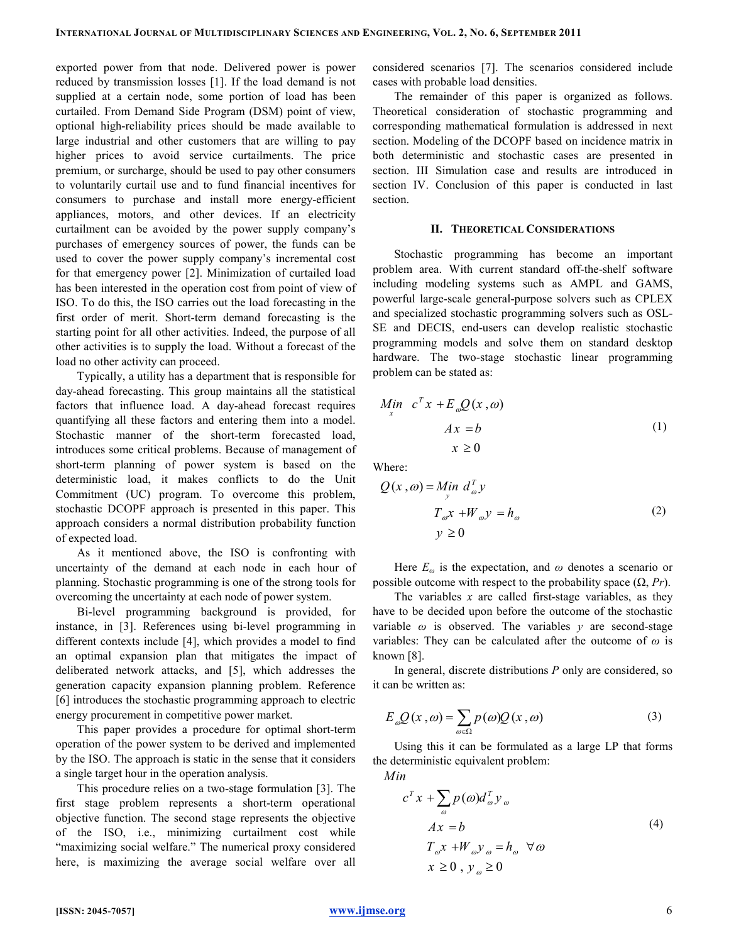exported power from that node. Delivered power is power reduced by transmission losses [1]. If the load demand is not supplied at a certain node, some portion of load has been curtailed. From Demand Side Program (DSM) point of view, optional high-reliability prices should be made available to large industrial and other customers that are willing to pay higher prices to avoid service curtailments. The price premium, or surcharge, should be used to pay other consumers to voluntarily curtail use and to fund financial incentives for consumers to purchase and install more energy-efficient appliances, motors, and other devices. If an electricity curtailment can be avoided by the power supply company's purchases of emergency sources of power, the funds can be used to cover the power supply company's incremental cost for that emergency power [2]. Minimization of curtailed load has been interested in the operation cost from point of view of ISO. To do this, the ISO carries out the load forecasting in the first order of merit. Short-term demand forecasting is the starting point for all other activities. Indeed, the purpose of all other activities is to supply the load. Without a forecast of the load no other activity can proceed.

Typically, a utility has a department that is responsible for day-ahead forecasting. This group maintains all the statistical factors that influence load. A day-ahead forecast requires quantifying all these factors and entering them into a model. Stochastic manner of the short-term forecasted load, introduces some critical problems. Because of management of short-term planning of power system is based on the deterministic load, it makes conflicts to do the Unit Commitment (UC) program. To overcome this problem, stochastic DCOPF approach is presented in this paper. This approach considers a normal distribution probability function of expected load.

As it mentioned above, the ISO is confronting with uncertainty of the demand at each node in each hour of planning. Stochastic programming is one of the strong tools for overcoming the uncertainty at each node of power system.

Bi-level programming background is provided, for instance, in [3]. References using bi-level programming in different contexts include [4], which provides a model to find an optimal expansion plan that mitigates the impact of deliberated network attacks, and [5], which addresses the generation capacity expansion planning problem. Reference [6] introduces the stochastic programming approach to electric energy procurement in competitive power market.

This paper provides a procedure for optimal short-term operation of the power system to be derived and implemented by the ISO. The approach is static in the sense that it considers a single target hour in the operation analysis.

This procedure relies on a two-stage formulation [3]. The first stage problem represents a short-term operational objective function. The second stage represents the objective of the ISO, i.e., minimizing curtailment cost while "maximizing social welfare." The numerical proxy considered here, is maximizing the average social welfare over all considered scenarios [7]. The scenarios considered include cases with probable load densities.

The remainder of this paper is organized as follows. Theoretical consideration of stochastic programming and corresponding mathematical formulation is addressed in next section. Modeling of the DCOPF based on incidence matrix in both deterministic and stochastic cases are presented in section. III Simulation case and results are introduced in section IV. Conclusion of this paper is conducted in last section.

### II. THEORETICAL CONSIDERATIONS

Stochastic programming has become an important problem area. With current standard off-the-shelf software including modeling systems such as AMPL and GAMS, powerful large-scale general-purpose solvers such as CPLEX and specialized stochastic programming solvers such as OSL-SE and DECIS, end-users can develop realistic stochastic programming models and solve them on standard desktop hardware. The two-stage stochastic linear programming problem can be stated as:

$$
\begin{aligned}\nMin \quad & c^T x + E_{\omega} Q(x, \omega) \\
& Ax = b \\
& x \ge 0\n\end{aligned} \tag{1}
$$

Where:

$$
Q(x, \omega) = \lim_{y} d_{\omega}^{T} y
$$
  

$$
T_{\omega} x + W_{\omega} y = h_{\omega}
$$
  

$$
y \ge 0
$$
 (2)

Here  $E_{\omega}$  is the expectation, and  $\omega$  denotes a scenario or possible outcome with respect to the probability space  $(\Omega, Pr)$ .

The variables  $x$  are called first-stage variables, as they have to be decided upon before the outcome of the stochastic variable  $\omega$  is observed. The variables y are second-stage variables: They can be calculated after the outcome of  $\omega$  is known [8].

In general, discrete distributions  $P$  only are considered, so it can be written as:

$$
E_{\omega}Q(x,\omega) = \sum_{\omega \in \Omega} p(\omega)Q(x,\omega)
$$
 (3)

Using this it can be formulated as a large LP that forms the deterministic equivalent problem:

Min

$$
c^{T}x + \sum_{\omega} p(\omega)d_{\omega}^{T}y_{\omega}
$$
  
\n
$$
Ax = b
$$
  
\n
$$
T_{\omega}x + W_{\omega}y_{\omega} = h_{\omega} \quad \forall \omega
$$
  
\n
$$
x \ge 0, y_{\omega} \ge 0
$$
\n(4)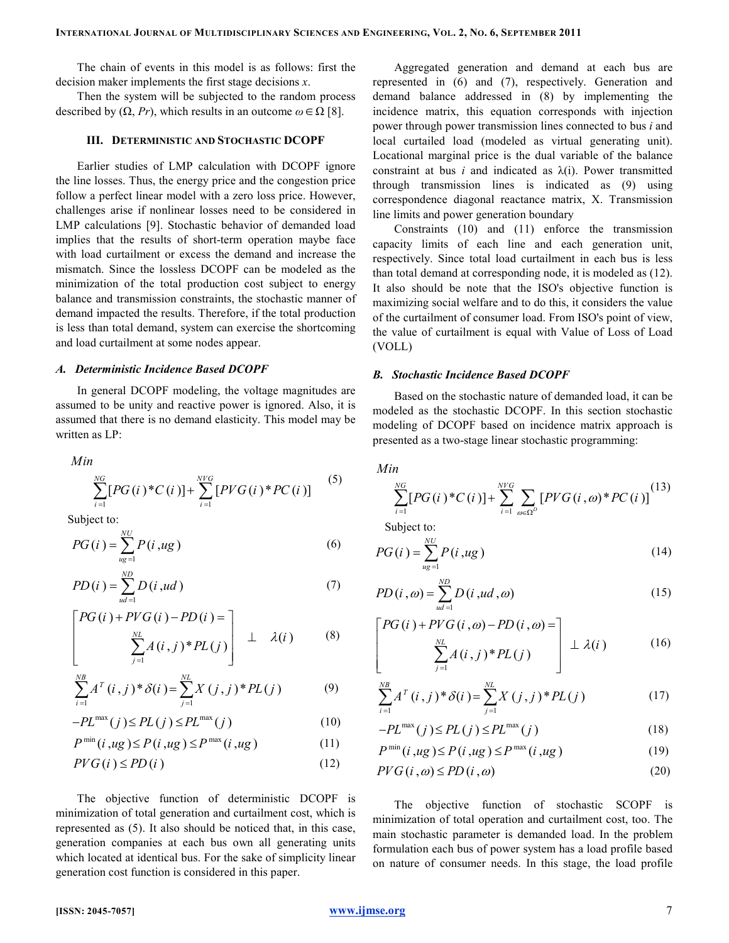The chain of events in this model is as follows: first the decision maker implements the first stage decisions  $x$ .

Then the system will be subjected to the random process described by  $(\Omega, Pr)$ , which results in an outcome  $\omega \in \Omega$  [8].

### III. DETERMINISTIC AND STOCHASTIC DCOPF

Earlier studies of LMP calculation with DCOPF ignore the line losses. Thus, the energy price and the congestion price follow a perfect linear model with a zero loss price. However, challenges arise if nonlinear losses need to be considered in LMP calculations [9]. Stochastic behavior of demanded load implies that the results of short-term operation maybe face with load curtailment or excess the demand and increase the mismatch. Since the lossless DCOPF can be modeled as the minimization of the total production cost subject to energy balance and transmission constraints, the stochastic manner of demand impacted the results. Therefore, if the total production is less than total demand, system can exercise the shortcoming and load curtailment at some nodes appear.

### A. Deterministic Incidence Based DCOPF

In general DCOPF modeling, the voltage magnitudes are assumed to be unity and reactive power is ignored. Also, it is assumed that there is no demand elasticity. This model may be written as LP:

Min  

$$
\sum_{i=1}^{NG} [PG(i)*C(i)] + \sum_{i=1}^{NVG} [PVG(i)*PC(i)]
$$
 (5)

Subject to:

$$
PG(i) = \sum_{u}^{NU} P(i, ug)
$$
\n<sup>(6)</sup>

$$
PD(i) = \sum_{ud=1}^{ND} D(i, ud)
$$
 (7)

$$
\begin{bmatrix} PG(i) + PVG(i) - PD(i) = \\ \sum_{j=1}^{NL} A(i,j)^* PL(j) \end{bmatrix} \perp \lambda(i) \qquad (8)
$$

$$
\sum_{i=1}^{NB} A^{T}(i,j)^{*}\delta(i) = \sum_{j=1}^{NL} X(j,j)^{*} PL(j)
$$
 (9)

$$
-PL^{\max}(j) \le PL(j) \le PL^{\max}(j)
$$
 (10)

$$
P^{\min}(i, ug) \le P(i, ug) \le P^{\max}(i, ug)
$$
\n(11)

$$
PVG(i) \le PD(i) \tag{12}
$$

The objective function of deterministic DCOPF is minimization of total generation and curtailment cost, which is represented as (5). It also should be noticed that, in this case, generation companies at each bus own all generating units which located at identical bus. For the sake of simplicity linear generation cost function is considered in this paper.

Aggregated generation and demand at each bus are represented in (6) and (7), respectively. Generation and demand balance addressed in (8) by implementing the incidence matrix, this equation corresponds with injection power through power transmission lines connected to bus i and local curtailed load (modeled as virtual generating unit). Locational marginal price is the dual variable of the balance constraint at bus *i* and indicated as  $\lambda(i)$ . Power transmitted through transmission lines is indicated as (9) using correspondence diagonal reactance matrix, X. Transmission line limits and power generation boundary

Constraints (10) and (11) enforce the transmission capacity limits of each line and each generation unit, respectively. Since total load curtailment in each bus is less than total demand at corresponding node, it is modeled as (12). It also should be note that the ISO's objective function is maximizing social welfare and to do this, it considers the value of the curtailment of consumer load. From ISO's point of view, the value of curtailment is equal with Value of Loss of Load (VOLL)

### B. Stochastic Incidence Based DCOPF

Based on the stochastic nature of demanded load, it can be modeled as the stochastic DCOPF. In this section stochastic modeling of DCOPF based on incidence matrix approach is presented as a two-stage linear stochastic programming:

$$
Min
$$

$$
\sum_{i=1}^{NG} [PG(i)*C(i)] + \sum_{i=1}^{NVG} \sum_{\omega \in \Omega^D} [PVG(i, \omega)*PC(i)]^{(13)}
$$

Subject to:

$$
PG(i) = \sum_{u}^{NU} P(i, ug)
$$
\n(14)

$$
PD(i,\omega) = \sum_{ud=1}^{ND} D(i,ud,\omega)
$$
 (15)

$$
\begin{bmatrix} PG(i) + PVG(i, \omega) - PD(i, \omega) = \\ \sum_{j=1}^{NL} A(i, j)^* PL(j) \end{bmatrix} \perp \lambda(i) \tag{16}
$$

$$
\sum_{i=1}^{NB} A^T(i,j)^* \delta(i) = \sum_{j=1}^{NL} X(j,j)^* PL(j)
$$
 (17)

$$
-PL^{\max}(j) \le PL(j) \le PL^{\max}(j)
$$
\n(18)

$$
P^{\min}(i, ug) \le P(i, ug) \le P^{\max}(i, ug)
$$
\n(19)

$$
PVG(i,\omega) \le PD(i,\omega) \tag{20}
$$

The objective function of stochastic SCOPF is minimization of total operation and curtailment cost, too. The main stochastic parameter is demanded load. In the problem formulation each bus of power system has a load profile based on nature of consumer needs. In this stage, the load profile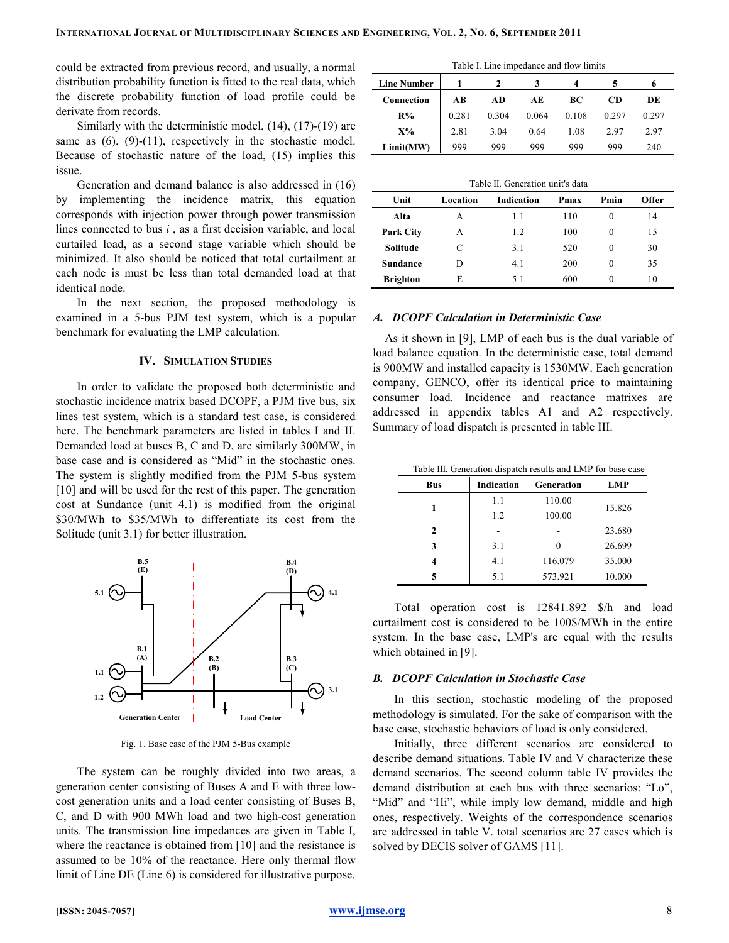could be extracted from previous record, and usually, a normal distribution probability function is fitted to the real data, which the discrete probability function of load profile could be derivate from records.

Similarly with the deterministic model, (14), (17)-(19) are same as  $(6)$ ,  $(9)$ - $(11)$ , respectively in the stochastic model. Because of stochastic nature of the load, (15) implies this issue.

Generation and demand balance is also addressed in (16) by implementing the incidence matrix, this equation corresponds with injection power through power transmission lines connected to bus  $i$ , as a first decision variable, and local curtailed load, as a second stage variable which should be minimized. It also should be noticed that total curtailment at each node is must be less than total demanded load at that identical node.

In the next section, the proposed methodology is examined in a 5-bus PJM test system, which is a popular benchmark for evaluating the LMP calculation.

## IV. SIMULATION STUDIES

In order to validate the proposed both deterministic and stochastic incidence matrix based DCOPF, a PJM five bus, six lines test system, which is a standard test case, is considered here. The benchmark parameters are listed in tables I and II. Demanded load at buses B, C and D, are similarly 300MW, in base case and is considered as "Mid" in the stochastic ones. The system is slightly modified from the PJM 5-bus system [10] and will be used for the rest of this paper. The generation cost at Sundance (unit 4.1) is modified from the original \$30/MWh to \$35/MWh to differentiate its cost from the Solitude (unit 3.1) for better illustration.



Fig. 1. Base case of the PJM 5-Bus example

The system can be roughly divided into two areas, a generation center consisting of Buses A and E with three lowcost generation units and a load center consisting of Buses B, C, and D with 900 MWh load and two high-cost generation units. The transmission line impedances are given in Table I, where the reactance is obtained from [10] and the resistance is assumed to be 10% of the reactance. Here only thermal flow limit of Line DE (Line 6) is considered for illustrative purpose.

| Table I. Line impedance and flow limits |       |       |       |       |       |       |  |
|-----------------------------------------|-------|-------|-------|-------|-------|-------|--|
| <b>Line Number</b><br>4<br>n            |       |       |       |       |       |       |  |
| Connection                              | AВ    | AD    | AЕ    | BС    | CD    | DE    |  |
| R%                                      | 0.281 | 0.304 | 0.064 | 0.108 | 0.297 | 0.297 |  |
| $X\%$                                   | 2.81  | 3.04  | 0.64  | 1.08  | 2.97  | 2.97  |  |
| Limit(MW)                               | 999   | 999   | 999   | 999   | 999   | 240   |  |

| Table II. Generation unit's data                                      |   |     |     |          |    |  |  |  |  |
|-----------------------------------------------------------------------|---|-----|-----|----------|----|--|--|--|--|
| Unit<br>Pmin<br>Location<br><b>Indication</b><br><b>Offer</b><br>Pmax |   |     |     |          |    |  |  |  |  |
| Alta                                                                  | A | 1.1 | 110 | $\theta$ | 14 |  |  |  |  |
| <b>Park City</b>                                                      | A | 1.2 | 100 | $\Omega$ | 15 |  |  |  |  |
| Solitude                                                              | C | 3.1 | 520 | $\Omega$ | 30 |  |  |  |  |
| Sundance                                                              |   | 4.1 | 200 | $\Omega$ | 35 |  |  |  |  |
| <b>Brighton</b>                                                       | E | 5.1 | 600 | $\Omega$ | 10 |  |  |  |  |

# A. DCOPF Calculation in Deterministic Case

As it shown in [9], LMP of each bus is the dual variable of load balance equation. In the deterministic case, total demand is 900MW and installed capacity is 1530MW. Each generation company, GENCO, offer its identical price to maintaining consumer load. Incidence and reactance matrixes are addressed in appendix tables A1 and A2 respectively. Summary of load dispatch is presented in table III.

|  | Table III. Generation dispatch results and LMP for base case |  |  |  |  |
|--|--------------------------------------------------------------|--|--|--|--|
|  |                                                              |  |  |  |  |

| <b>Bus</b> | Indication | Generation | LMP    |
|------------|------------|------------|--------|
|            | 1.1        | 110.00     | 15.826 |
| 1          | 1.2        | 100.00     |        |
| 2          |            |            | 23.680 |
| 3          | 3.1        |            | 26.699 |
| 4          | 4.1        | 116.079    | 35.000 |
| 5          | 5.1        | 573.921    | 10.000 |

Total operation cost is 12841.892 \$/h and load curtailment cost is considered to be 100\$/MWh in the entire system. In the base case, LMP's are equal with the results which obtained in [9].

### B. DCOPF Calculation in Stochastic Case

In this section, stochastic modeling of the proposed methodology is simulated. For the sake of comparison with the base case, stochastic behaviors of load is only considered.

Initially, three different scenarios are considered to describe demand situations. Table IV and V characterize these demand scenarios. The second column table IV provides the demand distribution at each bus with three scenarios: "Lo", "Mid" and "Hi", while imply low demand, middle and high ones, respectively. Weights of the correspondence scenarios are addressed in table V. total scenarios are 27 cases which is solved by DECIS solver of GAMS [11].